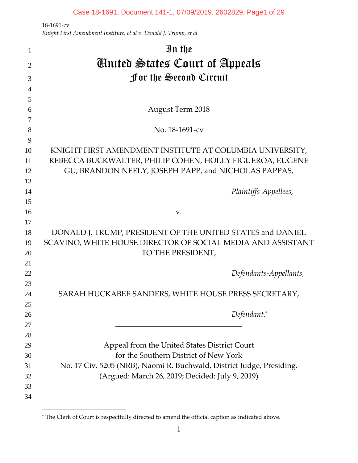$\overline{a}$ 

| 1              | In the                                                                           |
|----------------|----------------------------------------------------------------------------------|
| $\overline{2}$ | <b>C</b> inited States Court of Appeals                                          |
| 3              | <b>for the Second Circuit</b>                                                    |
| $\overline{4}$ |                                                                                  |
| 5              |                                                                                  |
| 6              | <b>August Term 2018</b>                                                          |
| 7              |                                                                                  |
| 8              | No. 18-1691-cv                                                                   |
| 9              |                                                                                  |
| 10             | KNIGHT FIRST AMENDMENT INSTITUTE AT COLUMBIA UNIVERSITY,                         |
| 11             | REBECCA BUCKWALTER, PHILIP COHEN, HOLLY FIGUEROA, EUGENE                         |
| 12             | GU, BRANDON NEELY, JOSEPH PAPP, and NICHOLAS PAPPAS,                             |
| 13             |                                                                                  |
| 14             | Plaintiffs-Appellees,                                                            |
| 15             |                                                                                  |
| 16             | V.                                                                               |
| 17             |                                                                                  |
| 18             | DONALD J. TRUMP, PRESIDENT OF THE UNITED STATES and DANIEL                       |
| 19<br>20       | SCAVINO, WHITE HOUSE DIRECTOR OF SOCIAL MEDIA AND ASSISTANT<br>TO THE PRESIDENT, |
| 21             |                                                                                  |
| 22             | Defendants-Appellants,                                                           |
| 23             |                                                                                  |
| 24             | SARAH HUCKABEE SANDERS, WHITE HOUSE PRESS SECRETARY,                             |
| 25             |                                                                                  |
| 26             | Defendant.*                                                                      |
| 27             |                                                                                  |
| 28             |                                                                                  |
| 29             | Appeal from the United States District Court                                     |
| 30             | for the Southern District of New York                                            |
| 31             | No. 17 Civ. 5205 (NRB), Naomi R. Buchwald, District Judge, Presiding.            |
| 32             | (Argued: March 26, 2019; Decided: July 9, 2019)                                  |
| 33             |                                                                                  |
| 34             |                                                                                  |

<sup>\*</sup> The Clerk of Court is respectfully directed to amend the official caption as indicated above.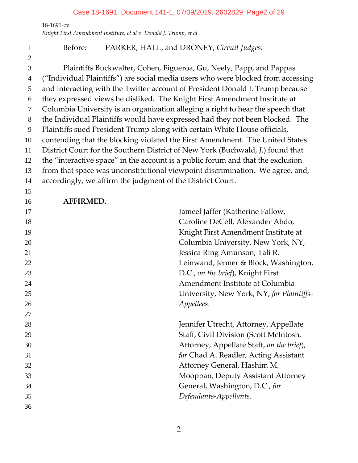## Case 18-1691, Document 141-1, 07/09/2019, 2602829, Page2 of 29

‐1691‐cv

*Knight First Amendment Institute, et al v. Donald J. Trump, et al*

# Before: PARKER, HALL, and DRONEY, *Circuit Judges.*

Plaintiffs Buckwalter, Cohen, Figueroa, Gu, Neely, Papp, and Pappas ("Individual Plaintiffs") are social media users who were blocked from accessing and interacting with the Twitter account of President Donald J. Trump because they expressed views he disliked. The Knight First Amendment Institute at Columbia University is an organization alleging a right to hear the speech that the Individual Plaintiffs would have expressed had they not been blocked. The Plaintiffs sued President Trump along with certain White House officials, contending that the blocking violated the First Amendment. The United States District Court for the Southern District of New York (Buchwald, *J.*) found that the "interactive space" in the account is a public forum and that the exclusion from that space was unconstitutional viewpoint discrimination. We agree, and, accordingly, we affirm the judgment of the District Court.

**AFFIRMED.**

| Jameel Jaffer (Katherine Fallow,          |
|-------------------------------------------|
| Caroline DeCell, Alexander Abdo,          |
| Knight First Amendment Institute at       |
| Columbia University, New York, NY,        |
| Jessica Ring Amunson, Tali R.             |
| Leinwand, Jenner & Block, Washington,     |
| D.C., on the brief), Knight First         |
| Amendment Institute at Columbia           |
| University, New York, NY, for Plaintiffs- |
| Appellees.                                |
|                                           |
| Jennifer Utrecht, Attorney, Appellate     |
|                                           |
| Staff, Civil Division (Scott McIntosh,    |
| Attorney, Appellate Staff, on the brief), |
| for Chad A. Readler, Acting Assistant     |
| Attorney General, Hashim M.               |
| Mooppan, Deputy Assistant Attorney        |
| General, Washington, D.C., for            |
| Defendants-Appellants.                    |
|                                           |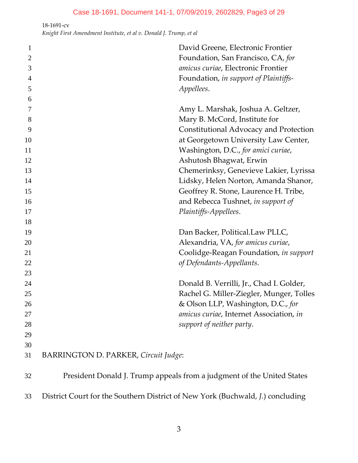| $\mathbf{1}$   | David Greene, Electronic Frontier                                              |  |
|----------------|--------------------------------------------------------------------------------|--|
| $\overline{2}$ | Foundation, San Francisco, CA, for                                             |  |
| 3              | amicus curiae, Electronic Frontier                                             |  |
| 4              | Foundation, in support of Plaintiffs-                                          |  |
| 5              | Appellees.                                                                     |  |
| 6              |                                                                                |  |
| 7              | Amy L. Marshak, Joshua A. Geltzer,                                             |  |
| 8              | Mary B. McCord, Institute for                                                  |  |
| 9              | Constitutional Advocacy and Protection                                         |  |
| 10             | at Georgetown University Law Center,                                           |  |
| 11             | Washington, D.C., for amici curiae,                                            |  |
| 12             | Ashutosh Bhagwat, Erwin                                                        |  |
| 13             | Chemerinksy, Genevieve Lakier, Lyrissa                                         |  |
| 14             | Lidsky, Helen Norton, Amanda Shanor,                                           |  |
| 15             | Geoffrey R. Stone, Laurence H. Tribe,                                          |  |
| 16             | and Rebecca Tushnet, in support of                                             |  |
| 17             | Plaintiffs-Appellees.                                                          |  |
| 18             |                                                                                |  |
| 19             | Dan Backer, Political.Law PLLC,                                                |  |
| 20             | Alexandria, VA, for amicus curiae,                                             |  |
| 21             | Coolidge-Reagan Foundation, in support                                         |  |
| 22             | of Defendants-Appellants.                                                      |  |
| 23             |                                                                                |  |
| 24             | Donald B. Verrilli, Jr., Chad I. Golder,                                       |  |
| 25             | Rachel G. Miller-Ziegler, Munger, Tolles                                       |  |
| 26             | & Olson LLP, Washington, D.C., for                                             |  |
| 27             | amicus curiae, Internet Association, in                                        |  |
| 28             | support of neither party.                                                      |  |
| 29             |                                                                                |  |
| 30             |                                                                                |  |
| 31             | BARRINGTON D. PARKER, Circuit Judge:                                           |  |
| 32             | President Donald J. Trump appeals from a judgment of the United States         |  |
| 33             | District Court for the Southern District of New York (Buchwald, J.) concluding |  |
|                |                                                                                |  |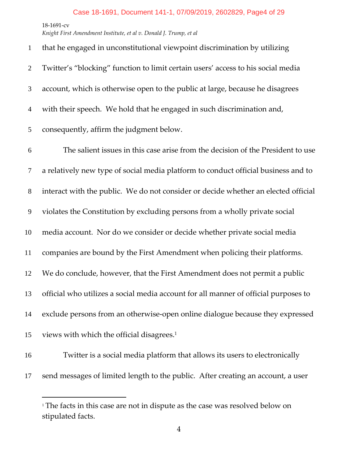$\overline{a}$ 

*Knight First Amendment Institute, et al v. Donald J. Trump, et al*

| $\mathbf{1}$   | that he engaged in unconstitutional viewpoint discrimination by utilizing           |
|----------------|-------------------------------------------------------------------------------------|
| $\overline{2}$ | Twitter's "blocking" function to limit certain users' access to his social media    |
| 3              | account, which is otherwise open to the public at large, because he disagrees       |
| $\overline{4}$ | with their speech. We hold that he engaged in such discrimination and,              |
| 5              | consequently, affirm the judgment below.                                            |
| 6              | The salient issues in this case arise from the decision of the President to use     |
| $\tau$         | a relatively new type of social media platform to conduct official business and to  |
| $8\,$          | interact with the public. We do not consider or decide whether an elected official  |
| 9              | violates the Constitution by excluding persons from a wholly private social         |
| 10             | media account. Nor do we consider or decide whether private social media            |
| 11             | companies are bound by the First Amendment when policing their platforms.           |
| 12             | We do conclude, however, that the First Amendment does not permit a public          |
| 13             | official who utilizes a social media account for all manner of official purposes to |
| 14             | exclude persons from an otherwise-open online dialogue because they expressed       |
| 15             | views with which the official disagrees. <sup>1</sup>                               |
| 16             | Twitter is a social media platform that allows its users to electronically          |
|                |                                                                                     |

send messages of limited length to the public. After creating an account, a user

<sup>&</sup>lt;sup>1</sup> The facts in this case are not in dispute as the case was resolved below on stipulated facts.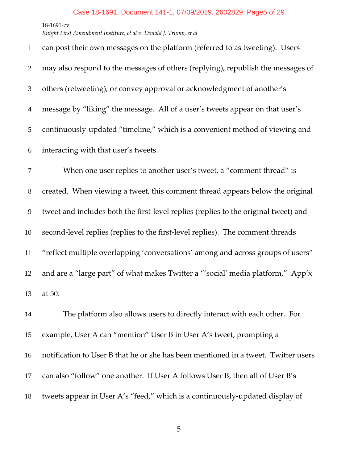#### Case 18-1691, Document 141-1, 07/09/2019, 2602829, Page5 of 29

‐1691‐cv

*Knight First Amendment Institute, et al v. Donald J. Trump, et al*

| $\mathbf{1}$   | can post their own messages on the platform (referred to as tweeting). Users        |
|----------------|-------------------------------------------------------------------------------------|
| $\overline{2}$ | may also respond to the messages of others (replying), republish the messages of    |
| 3              | others (retweeting), or convey approval or acknowledgment of another's              |
| $\overline{4}$ | message by "liking" the message. All of a user's tweets appear on that user's       |
| 5              | continuously-updated "timeline," which is a convenient method of viewing and        |
| 6              | interacting with that user's tweets.                                                |
| 7              | When one user replies to another user's tweet, a "comment thread" is                |
| $8\,$          | created. When viewing a tweet, this comment thread appears below the original       |
| $\overline{9}$ | tweet and includes both the first-level replies (replies to the original tweet) and |
| 10             | second-level replies (replies to the first-level replies). The comment threads      |
| 11             | "reflect multiple overlapping 'conversations' among and across groups of users"     |
| 12             | and are a "large part" of what makes Twitter a "'social' media platform." App'x     |
| 13             | at 50.                                                                              |
| 14             | The platform also allows users to directly interact with each other. For            |
| 15             | example, User A can "mention" User B in User A's tweet, prompting a                 |
| 16             | notification to User B that he or she has been mentioned in a tweet. Twitter users  |
| 17             | can also "follow" one another. If User A follows User B, then all of User B's       |
|                |                                                                                     |

18 tweets appear in User A's "feed," which is a continuously-updated display of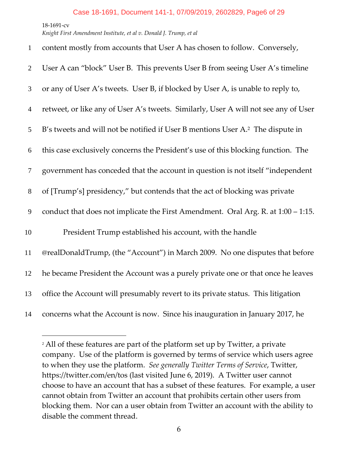$\overline{a}$ 

| $\mathbf{1}$   | content mostly from accounts that User A has chosen to follow. Conversely,                 |
|----------------|--------------------------------------------------------------------------------------------|
| $\mathfrak{2}$ | User A can "block" User B. This prevents User B from seeing User A's timeline              |
| 3              | or any of User A's tweets. User B, if blocked by User A, is unable to reply to,            |
| $\overline{4}$ | retweet, or like any of User A's tweets. Similarly, User A will not see any of User        |
| 5              | B's tweets and will not be notified if User B mentions User A. <sup>2</sup> The dispute in |
| 6              | this case exclusively concerns the President's use of this blocking function. The          |
| $\overline{7}$ | government has conceded that the account in question is not itself "independent"           |
| $8\,$          | of [Trump's] presidency," but contends that the act of blocking was private                |
| 9              | conduct that does not implicate the First Amendment. Oral Arg. R. at 1:00 - 1:15.          |
| 10             | President Trump established his account, with the handle                                   |
| 11             | @realDonaldTrump, (the "Account") in March 2009. No one disputes that before               |
| 12             | he became President the Account was a purely private one or that once he leaves            |
| 13             | office the Account will presumably revert to its private status. This litigation           |
| 14             | concerns what the Account is now. Since his inauguration in January 2017, he               |

<sup>&</sup>lt;sup>2</sup> All of these features are part of the platform set up by Twitter, a private company. Use of the platform is governed by terms of service which users agree to when they use the platform. *See generally Twitter Terms of Service*, Twitter, https://twitter.com/en/tos (last visited June 6, 2019). A Twitter user cannot choose to have an account that has a subset of these features. For example, a user cannot obtain from Twitter an account that prohibits certain other users from blocking them. Nor can a user obtain from Twitter an account with the ability to disable the comment thread.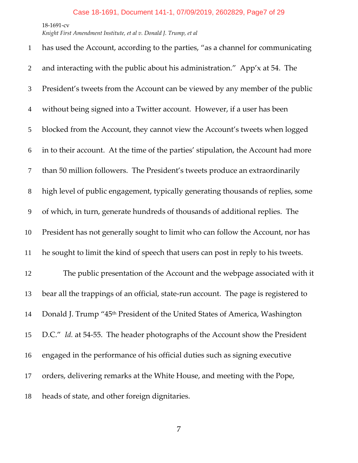*Knight First Amendment Institute, et al v. Donald J. Trump, et al*

| $\mathbf{1}$   | has used the Account, according to the parties, "as a channel for communicating         |
|----------------|-----------------------------------------------------------------------------------------|
| 2              | and interacting with the public about his administration." App'x at 54. The             |
| 3              | President's tweets from the Account can be viewed by any member of the public           |
| $\overline{4}$ | without being signed into a Twitter account. However, if a user has been                |
| 5              | blocked from the Account, they cannot view the Account's tweets when logged             |
| 6              | in to their account. At the time of the parties' stipulation, the Account had more      |
| $\overline{7}$ | than 50 million followers. The President's tweets produce an extraordinarily            |
| $8\phantom{1}$ | high level of public engagement, typically generating thousands of replies, some        |
| 9              | of which, in turn, generate hundreds of thousands of additional replies. The            |
| 10             | President has not generally sought to limit who can follow the Account, nor has         |
| 11             | he sought to limit the kind of speech that users can post in reply to his tweets.       |
| 12             | The public presentation of the Account and the webpage associated with it               |
| 13             | bear all the trappings of an official, state-run account. The page is registered to     |
| 14             | Donald J. Trump "45 <sup>th</sup> President of the United States of America, Washington |
| 15             | D.C." Id. at 54-55. The header photographs of the Account show the President            |
| 16             | engaged in the performance of his official duties such as signing executive             |
| 17             | orders, delivering remarks at the White House, and meeting with the Pope,               |
| 18             | heads of state, and other foreign dignitaries.                                          |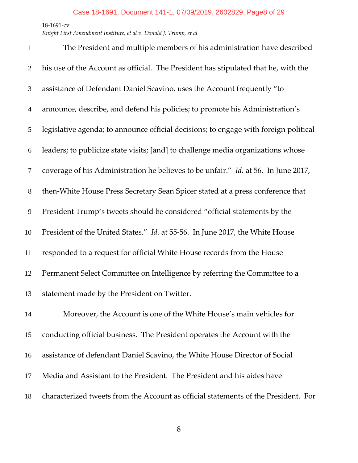*Knight First Amendment Institute, et al v. Donald J. Trump, et al*

| $\mathbf{1}$   | The President and multiple members of his administration have described              |
|----------------|--------------------------------------------------------------------------------------|
| $\overline{2}$ | his use of the Account as official. The President has stipulated that he, with the   |
| 3              | assistance of Defendant Daniel Scavino, uses the Account frequently "to              |
| $\overline{4}$ | announce, describe, and defend his policies; to promote his Administration's         |
| 5              | legislative agenda; to announce official decisions; to engage with foreign political |
| 6              | leaders; to publicize state visits; [and] to challenge media organizations whose     |
| $\overline{7}$ | coverage of his Administration he believes to be unfair." Id. at 56. In June 2017,   |
| $8\,$          | then-White House Press Secretary Sean Spicer stated at a press conference that       |
| 9              | President Trump's tweets should be considered "official statements by the            |
| 10             | President of the United States." Id. at 55-56. In June 2017, the White House         |
| 11             | responded to a request for official White House records from the House               |
| 12             | Permanent Select Committee on Intelligence by referring the Committee to a           |
| 13             | statement made by the President on Twitter.                                          |
| 14             | Moreover, the Account is one of the White House's main vehicles for                  |
| 15             | conducting official business. The President operates the Account with the            |
| 16             | assistance of defendant Daniel Scavino, the White House Director of Social           |
| 17             | Media and Assistant to the President. The President and his aides have               |
| 18             | characterized tweets from the Account as official statements of the President. For   |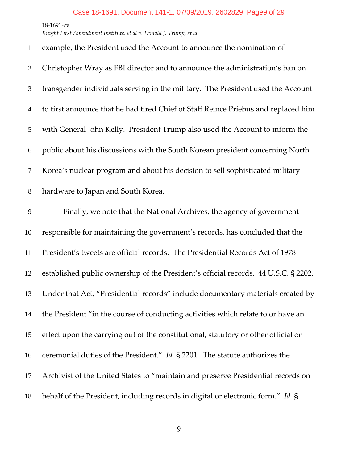# Case 18-1691, Document 141-1, 07/09/2019, 2602829, Page9 of 29

‐1691‐cv

*Knight First Amendment Institute, et al v. Donald J. Trump, et al*

| $\mathbf{1}$   | example, the President used the Account to announce the nomination of               |
|----------------|-------------------------------------------------------------------------------------|
| $\overline{2}$ | Christopher Wray as FBI director and to announce the administration's ban on        |
| 3              | transgender individuals serving in the military. The President used the Account     |
| $\overline{4}$ | to first announce that he had fired Chief of Staff Reince Priebus and replaced him  |
| 5              | with General John Kelly. President Trump also used the Account to inform the        |
| 6              | public about his discussions with the South Korean president concerning North       |
| 7              | Korea's nuclear program and about his decision to sell sophisticated military       |
| $8\phantom{.}$ | hardware to Japan and South Korea.                                                  |
| 9              | Finally, we note that the National Archives, the agency of government               |
| 10             | responsible for maintaining the government's records, has concluded that the        |
| 11             | President's tweets are official records. The Presidential Records Act of 1978       |
| 12             | established public ownership of the President's official records. 44 U.S.C. § 2202. |
| 13             | Under that Act, "Presidential records" include documentary materials created by     |
| 14             | the President "in the course of conducting activities which relate to or have an    |
| 15             | effect upon the carrying out of the constitutional, statutory or other official or  |
| 16             | ceremonial duties of the President." Id. § 2201. The statute authorizes the         |
| 17             | Archivist of the United States to "maintain and preserve Presidential records on    |
| 18             | behalf of the President, including records in digital or electronic form." Id. §    |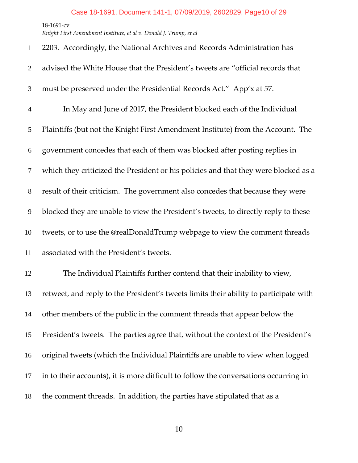*Knight First Amendment Institute, et al v. Donald J. Trump, et al*

| $\mathbf{1}$   | 2203. Accordingly, the National Archives and Records Administration has               |
|----------------|---------------------------------------------------------------------------------------|
| $\overline{2}$ | advised the White House that the President's tweets are "official records that        |
| 3              | must be preserved under the Presidential Records Act." App'x at 57.                   |
| $\overline{4}$ | In May and June of 2017, the President blocked each of the Individual                 |
| 5              | Plaintiffs (but not the Knight First Amendment Institute) from the Account. The       |
| 6              | government concedes that each of them was blocked after posting replies in            |
| $\tau$         | which they criticized the President or his policies and that they were blocked as a   |
| $8\phantom{1}$ | result of their criticism. The government also concedes that because they were        |
| 9              | blocked they are unable to view the President's tweets, to directly reply to these    |
| 10             | tweets, or to use the @realDonaldTrump webpage to view the comment threads            |
| 11             | associated with the President's tweets.                                               |
| 12             | The Individual Plaintiffs further contend that their inability to view,               |
| 13             | retweet, and reply to the President's tweets limits their ability to participate with |
| 14             | other members of the public in the comment threads that appear below the              |
| 15             | President's tweets. The parties agree that, without the context of the President's    |
| 16             | original tweets (which the Individual Plaintiffs are unable to view when logged       |
| 17             | in to their accounts), it is more difficult to follow the conversations occurring in  |
| 18             | the comment threads. In addition, the parties have stipulated that as a               |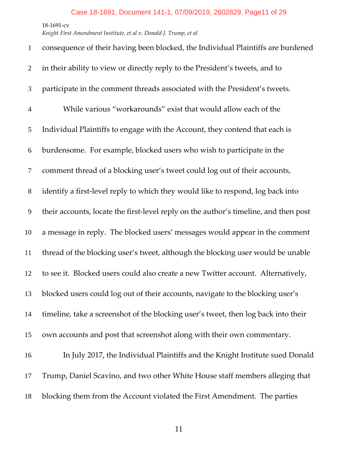*Knight First Amendment Institute, et al v. Donald J. Trump, et al*

| $\mathbf{1}$   | consequence of their having been blocked, the Individual Plaintiffs are burdened     |
|----------------|--------------------------------------------------------------------------------------|
| $\overline{2}$ | in their ability to view or directly reply to the President's tweets, and to         |
| 3              | participate in the comment threads associated with the President's tweets.           |
| $\overline{4}$ | While various "workarounds" exist that would allow each of the                       |
| 5              | Individual Plaintiffs to engage with the Account, they contend that each is          |
| 6              | burdensome. For example, blocked users who wish to participate in the                |
| 7              | comment thread of a blocking user's tweet could log out of their accounts,           |
| $8\,$          | identify a first-level reply to which they would like to respond, log back into      |
| 9              | their accounts, locate the first-level reply on the author's timeline, and then post |
| 10             | a message in reply. The blocked users' messages would appear in the comment          |
| 11             | thread of the blocking user's tweet, although the blocking user would be unable      |
| 12             | to see it. Blocked users could also create a new Twitter account. Alternatively,     |
| 13             | blocked users could log out of their accounts, navigate to the blocking user's       |
| 14             | timeline, take a screenshot of the blocking user's tweet, then log back into their   |
| 15             | own accounts and post that screenshot along with their own commentary.               |
| 16             | In July 2017, the Individual Plaintiffs and the Knight Institute sued Donald         |
| 17             | Trump, Daniel Scavino, and two other White House staff members alleging that         |
| 18             | blocking them from the Account violated the First Amendment. The parties             |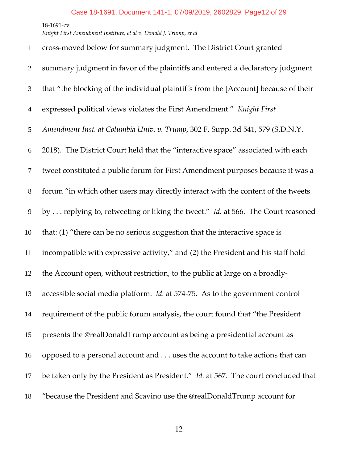| $\mathbf{1}$   | cross-moved below for summary judgment. The District Court granted                        |
|----------------|-------------------------------------------------------------------------------------------|
| $\overline{2}$ | summary judgment in favor of the plaintiffs and entered a declaratory judgment            |
| 3              | that "the blocking of the individual plaintiffs from the [Account] because of their       |
| $\overline{4}$ | expressed political views violates the First Amendment." Knight First                     |
| 5              | Amendment Inst. at Columbia Univ. v. Trump, 302 F. Supp. 3d 541, 579 (S.D.N.Y.            |
| 6              | 2018). The District Court held that the "interactive space" associated with each          |
| $\overline{7}$ | tweet constituted a public forum for First Amendment purposes because it was a            |
| $8\,$          | forum "in which other users may directly interact with the content of the tweets          |
| 9              | by  replying to, retweeting or liking the tweet." Id. at 566. The Court reasoned          |
| 10             | that: (1) "there can be no serious suggestion that the interactive space is               |
| 11             | incompatible with expressive activity," and (2) the President and his staff hold          |
| 12             | the Account open, without restriction, to the public at large on a broadly-               |
| 13             | accessible social media platform. Id. at 574-75. As to the government control             |
| 14             | requirement of the public forum analysis, the court found that "the President             |
| 15             | presents the @realDonaldTrump account as being a presidential account as                  |
| 16             | opposed to a personal account and uses the account to take actions that can               |
| 17             | be taken only by the President as President." <i>Id.</i> at 567. The court concluded that |
| 18             | "because the President and Scavino use the @realDonaldTrump account for                   |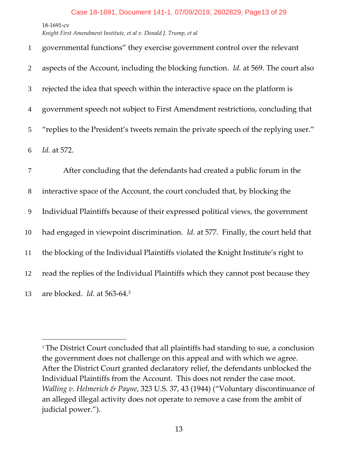$\overline{a}$ 

| $\mathbf{1}$   | governmental functions" they exercise government control over the relevant                 |
|----------------|--------------------------------------------------------------------------------------------|
| $\overline{2}$ | aspects of the Account, including the blocking function. <i>Id.</i> at 569. The court also |
| 3              | rejected the idea that speech within the interactive space on the platform is              |
| $\overline{4}$ | government speech not subject to First Amendment restrictions, concluding that             |
| 5              | "replies to the President's tweets remain the private speech of the replying user."        |
| 6              | Id. at 572.                                                                                |
| 7              | After concluding that the defendants had created a public forum in the                     |
| 8              | interactive space of the Account, the court concluded that, by blocking the                |
| 9              | Individual Plaintiffs because of their expressed political views, the government           |
| 10             | had engaged in viewpoint discrimination. <i>Id.</i> at 577. Finally, the court held that   |
| 11             | the blocking of the Individual Plaintiffs violated the Knight Institute's right to         |
| 12             | read the replies of the Individual Plaintiffs which they cannot post because they          |
| 13             | are blocked. Id. at 563-64.3                                                               |

<sup>&</sup>lt;sup>3</sup> The District Court concluded that all plaintiffs had standing to sue, a conclusion the government does not challenge on this appeal and with which we agree. After the District Court granted declaratory relief, the defendants unblocked the Individual Plaintiffs from the Account. This does not render the case moot. *Walling v. Helmerich & Payne*, 323 U.S. 37, 43 (1944) ("Voluntary discontinuance of an alleged illegal activity does not operate to remove a case from the ambit of judicial power.").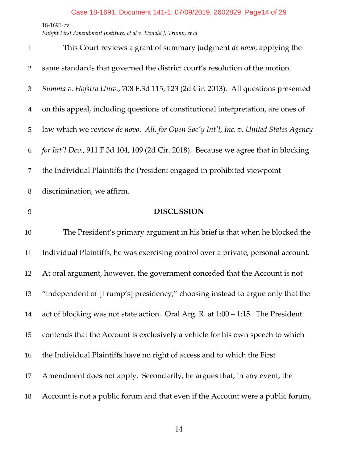| $\mathbf{1}$   | This Court reviews a grant of summary judgment de novo, applying the                 |
|----------------|--------------------------------------------------------------------------------------|
| $\overline{2}$ | same standards that governed the district court's resolution of the motion.          |
| 3              | Summa v. Hofstra Univ., 708 F.3d 115, 123 (2d Cir. 2013). All questions presented    |
| $\overline{4}$ | on this appeal, including questions of constitutional interpretation, are ones of    |
| 5              | law which we review de novo. All. for Open Soc'y Int'l, Inc. v. United States Agency |
| 6              | for Int'l Dev., 911 F.3d 104, 109 (2d Cir. 2018). Because we agree that in blocking  |
| $\tau$         | the Individual Plaintiffs the President engaged in prohibited viewpoint              |
| 8              | discrimination, we affirm.                                                           |
| 9              | <b>DISCUSSION</b>                                                                    |
| 10             | The President's primary argument in his brief is that when he blocked the            |
| 11             | Individual Plaintiffs, he was exercising control over a private, personal account.   |
| 12             | At oral argument, however, the government conceded that the Account is not           |
| 13             | "independent of [Trump's] presidency," choosing instead to argue only that the       |
| 14             | act of blocking was not state action. Oral Arg. R. at $1:00 - 1:15$ . The President  |
| 15             | contends that the Account is exclusively a vehicle for his own speech to which       |
| 16             | the Individual Plaintiffs have no right of access and to which the First             |
|                |                                                                                      |
| 17             | Amendment does not apply. Secondarily, he argues that, in any event, the             |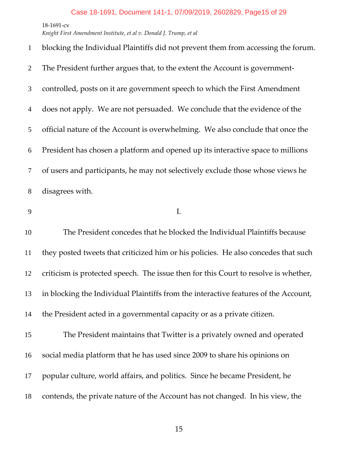*Knight First Amendment Institute, et al v. Donald J. Trump, et al*

| $\mathbf{1}$   | blocking the Individual Plaintiffs did not prevent them from accessing the forum. |
|----------------|-----------------------------------------------------------------------------------|
| 2              | The President further argues that, to the extent the Account is government-       |
| 3              | controlled, posts on it are government speech to which the First Amendment        |
| $\overline{4}$ | does not apply. We are not persuaded. We conclude that the evidence of the        |
| 5              | official nature of the Account is overwhelming. We also conclude that once the    |
| 6              | President has chosen a platform and opened up its interactive space to millions   |
| $\tau$         | of users and participants, he may not selectively exclude those whose views he    |
| 8              | disagrees with.                                                                   |
| 9              | I.                                                                                |
| 10             | The President concedes that he blocked the Individual Plaintiffs because          |

they posted tweets that criticized him or his policies. He also concedes that such

criticism is protected speech. The issue then for this Court to resolve is whether,

in blocking the Individual Plaintiffs from the interactive features of the Account,

the President acted in a governmental capacity or as a private citizen.

The President maintains that Twitter is a privately owned and operated social media platform that he has used since 2009 to share his opinions on popular culture, world affairs, and politics. Since he became President, he contends, the private nature of the Account has not changed. In his view, the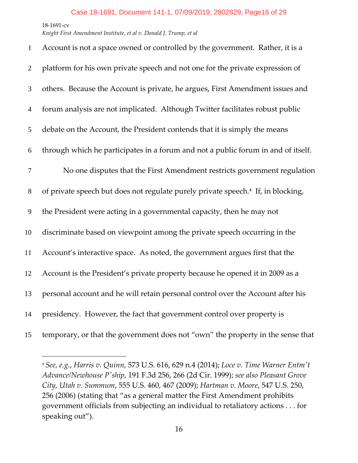$\overline{a}$ 

| $\mathbf{1}$   | Account is not a space owned or controlled by the government. Rather, it is a                |
|----------------|----------------------------------------------------------------------------------------------|
| $\overline{2}$ | platform for his own private speech and not one for the private expression of                |
| 3              | others. Because the Account is private, he argues, First Amendment issues and                |
| $\overline{4}$ | forum analysis are not implicated. Although Twitter facilitates robust public                |
| 5              | debate on the Account, the President contends that it is simply the means                    |
| 6              | through which he participates in a forum and not a public forum in and of itself.            |
| $\overline{7}$ | No one disputes that the First Amendment restricts government regulation                     |
| 8              | of private speech but does not regulate purely private speech. <sup>4</sup> If, in blocking, |
| 9              | the President were acting in a governmental capacity, then he may not                        |
| 10             | discriminate based on viewpoint among the private speech occurring in the                    |
| 11             | Account's interactive space. As noted, the government argues first that the                  |
| 12             | Account is the President's private property because he opened it in 2009 as a                |
| 13             | personal account and he will retain personal control over the Account after his              |
| 14             | presidency. However, the fact that government control over property is                       |
| 15             | temporary, or that the government does not "own" the property in the sense that              |

 *See, e.g.*, *Harris v. Quinn*, 573 U.S. 616, 629 n.4 (2014); *Loce v. Time Warner Entmʹt Advance/Newhouse Pʹship*, 191 F.3d 256, 266 (2d Cir. 1999); *see also Pleasant Grove City, Utah v. Summum*, 555 U.S. 460, 467 (2009); *Hartman v. Moore*, 547 U.S. 250, (2006) (stating that "as a general matter the First Amendment prohibits government officials from subjecting an individual to retaliatory actions . . . for speaking out").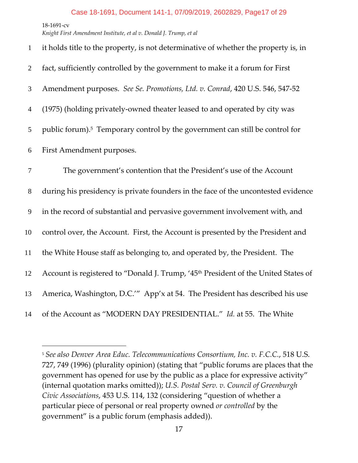‐1691‐cv *Knight First Amendment Institute, et al v. Donald J. Trump, et al*

 $\overline{a}$ 

| $\mathbf{1}$   | it holds title to the property, is not determinative of whether the property is, in            |
|----------------|------------------------------------------------------------------------------------------------|
| $\overline{2}$ | fact, sufficiently controlled by the government to make it a forum for First                   |
| 3              | Amendment purposes. See Se. Promotions, Ltd. v. Conrad, 420 U.S. 546, 547-52                   |
| $\overline{4}$ | (1975) (holding privately-owned theater leased to and operated by city was                     |
| 5              | public forum). <sup>5</sup> Temporary control by the government can still be control for       |
| 6              | First Amendment purposes.                                                                      |
| $\tau$         | The government's contention that the President's use of the Account                            |
| $8\,$          | during his presidency is private founders in the face of the uncontested evidence              |
| $\mathbf{9}$   | in the record of substantial and pervasive government involvement with, and                    |
| 10             | control over, the Account. First, the Account is presented by the President and                |
| 11             | the White House staff as belonging to, and operated by, the President. The                     |
| 12             | Account is registered to "Donald J. Trump, '45 <sup>th</sup> President of the United States of |
| 13             | America, Washington, D.C." App'x at 54. The President has described his use                    |
| 14             | of the Account as "MODERN DAY PRESIDENTIAL." Id. at 55. The White                              |

 *See also Denver Area Educ. Telecommunications Consortium, Inc. v. F.C.C.*, 518 U.S. 727, 749 (1996) (plurality opinion) (stating that "public forums are places that the government has opened for use by the public as a place for expressive activity" (internal quotation marks omitted)); *U.S. Postal Serv. v. Council of Greenburgh Civic Associations*, 453 U.S. 114, 132 (considering "question of whether a particular piece of personal or real property owned *or controlled* by the government" is a public forum (emphasis added)).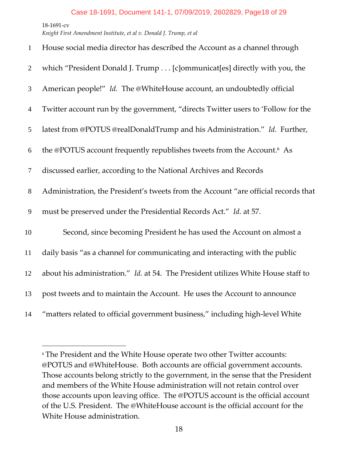$\overline{a}$ 

| $\mathbf{1}$     | House social media director has described the Account as a channel through         |
|------------------|------------------------------------------------------------------------------------|
| $\overline{2}$   | which "President Donald J. Trump [c]ommunicat[es] directly with you, the           |
| 3                | American people!" Id. The @WhiteHouse account, an undoubtedly official             |
| $\overline{4}$   | Twitter account run by the government, "directs Twitter users to 'Follow for the   |
| 5                | latest from @POTUS @realDonaldTrump and his Administration." Id. Further,          |
| 6                | the @POTUS account frequently republishes tweets from the Account. <sup>6</sup> As |
| $\tau$           | discussed earlier, according to the National Archives and Records                  |
| $8\,$            | Administration, the President's tweets from the Account "are official records that |
| $\boldsymbol{9}$ | must be preserved under the Presidential Records Act." Id. at 57.                  |
| 10               | Second, since becoming President he has used the Account on almost a               |
| 11               | daily basis "as a channel for communicating and interacting with the public        |
| 12               | about his administration." Id. at 54. The President utilizes White House staff to  |
| 13               | post tweets and to maintain the Account. He uses the Account to announce           |
| 14               | "matters related to official government business," including high-level White      |

 The President and the White House operate two other Twitter accounts: @POTUS and @WhiteHouse. Both accounts are official government accounts. Those accounts belong strictly to the government, in the sense that the President and members of the White House administration will not retain control over those accounts upon leaving office. The @POTUS account is the official account of the U.S. President. The @WhiteHouse account is the official account for the White House administration.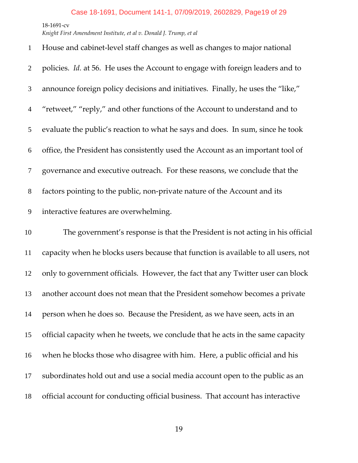*Knight First Amendment Institute, et al v. Donald J. Trump, et al*

| $\mathbf{1}$   | House and cabinet-level staff changes as well as changes to major national         |
|----------------|------------------------------------------------------------------------------------|
| $\overline{2}$ | policies. Id. at 56. He uses the Account to engage with foreign leaders and to     |
| 3              | announce foreign policy decisions and initiatives. Finally, he uses the "like,"    |
| $\overline{4}$ | "retweet," "reply," and other functions of the Account to understand and to        |
| 5              | evaluate the public's reaction to what he says and does. In sum, since he took     |
| 6              | office, the President has consistently used the Account as an important tool of    |
| $\overline{7}$ | governance and executive outreach. For these reasons, we conclude that the         |
| $8\,$          | factors pointing to the public, non-private nature of the Account and its          |
| $\overline{9}$ | interactive features are overwhelming.                                             |
| 10             | The government's response is that the President is not acting in his official      |
| 11             | capacity when he blocks users because that function is available to all users, not |
| 12             |                                                                                    |
|                | only to government officials. However, the fact that any Twitter user can block    |
| 13             | another account does not mean that the President somehow becomes a private         |
| 14             | person when he does so. Because the President, as we have seen, acts in an         |
| 15             | official capacity when he tweets, we conclude that he acts in the same capacity    |
| 16             | when he blocks those who disagree with him. Here, a public official and his        |
| 17             | subordinates hold out and use a social media account open to the public as an      |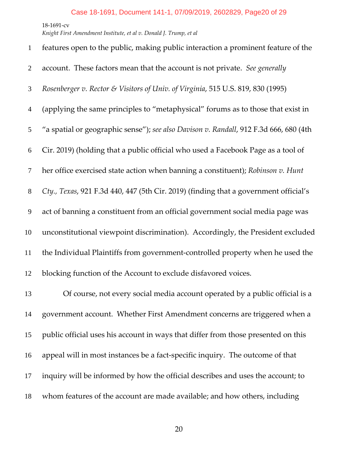| $\mathbf{1}$   | features open to the public, making public interaction a prominent feature of the     |
|----------------|---------------------------------------------------------------------------------------|
| $\overline{2}$ | account. These factors mean that the account is not private. See generally            |
| 3              | Rosenberger v. Rector & Visitors of Univ. of Virginia, 515 U.S. 819, 830 (1995)       |
| $\overline{4}$ | (applying the same principles to "metaphysical" forums as to those that exist in      |
| 5              | "a spatial or geographic sense"); see also Davison v. Randall, 912 F.3d 666, 680 (4th |
| 6              | Cir. 2019) (holding that a public official who used a Facebook Page as a tool of      |
| $\tau$         | her office exercised state action when banning a constituent); Robinson v. Hunt       |
| $8\phantom{.}$ | Cty., Texas, 921 F.3d 440, 447 (5th Cir. 2019) (finding that a government official's  |
| 9              | act of banning a constituent from an official government social media page was        |
| 10             | unconstitutional viewpoint discrimination). Accordingly, the President excluded       |
| 11             | the Individual Plaintiffs from government-controlled property when he used the        |
| 12             | blocking function of the Account to exclude disfavored voices.                        |
| 13             | Of course, not every social media account operated by a public official is a          |
| 14             | government account. Whether First Amendment concerns are triggered when a             |
| 15             | public official uses his account in ways that differ from those presented on this     |
| 16             | appeal will in most instances be a fact-specific inquiry. The outcome of that         |
| 17             | inquiry will be informed by how the official describes and uses the account; to       |
| 18             | whom features of the account are made available; and how others, including            |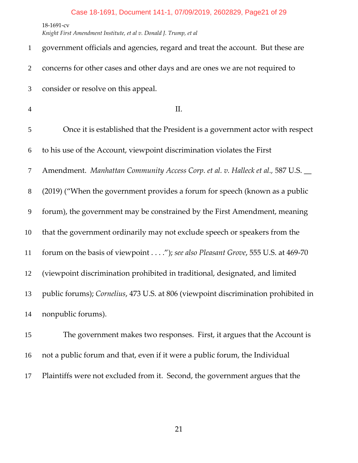*Knight First Amendment Institute, et al v. Donald J. Trump, et al*

| $\mathbf{1}$   | government officials and agencies, regard and treat the account. But these are     |
|----------------|------------------------------------------------------------------------------------|
| $\overline{2}$ | concerns for other cases and other days and are ones we are not required to        |
| 3              | consider or resolve on this appeal.                                                |
| $\overline{4}$ | Π.                                                                                 |
| 5              | Once it is established that the President is a government actor with respect       |
| 6              | to his use of the Account, viewpoint discrimination violates the First             |
| $\tau$         | Amendment. Manhattan Community Access Corp. et al. v. Halleck et al., 587 U.S. _   |
| $8\,$          | (2019) ("When the government provides a forum for speech (known as a public        |
| 9              | forum), the government may be constrained by the First Amendment, meaning          |
| 10             | that the government ordinarily may not exclude speech or speakers from the         |
| 11             | forum on the basis of viewpoint"); see also Pleasant Grove, 555 U.S. at 469-70     |
| 12             | (viewpoint discrimination prohibited in traditional, designated, and limited       |
| 13             | public forums); Cornelius, 473 U.S. at 806 (viewpoint discrimination prohibited in |
| 14             | nonpublic forums).                                                                 |
| 15             | The government makes two responses. First, it argues that the Account is           |
| 16             | not a public forum and that, even if it were a public forum, the Individual        |

Plaintiffs were not excluded from it. Second, the government argues that the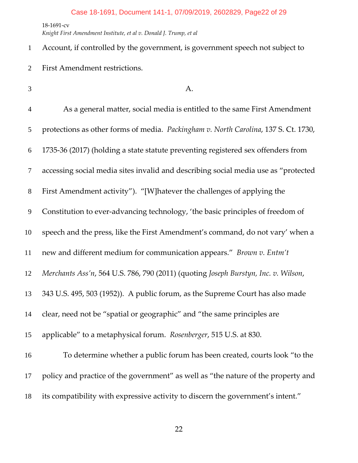*Knight First Amendment Institute, et al v. Donald J. Trump, et al*

Account, if controlled by the government, is government speech not subject to First Amendment restrictions.

- $3 \quad A.$ As a general matter, social media is entitled to the same First Amendment protections as other forms of media. *Packingham v. North Carolina*, 137 S. Ct. 1730, 1735‐36 (2017) (holding a state statute preventing registered sex offenders from accessing social media sites invalid and describing social media use as "protected First Amendment activity"). "[W]hatever the challenges of applying the 9 Constitution to ever-advancing technology, 'the basic principles of freedom of speech and the press, like the First Amendment's command, do not vary' when a new and different medium for communication appears." *Brown v. Entm't Merchants Ass'n*, 564 U.S. 786, 790 (2011) (quoting *Joseph Burstyn, Inc. v. Wilson*, 343 U.S. 495, 503 (1952)). A public forum, as the Supreme Court has also made clear, need not be "spatial or geographic" and "the same principles are applicable" to a metaphysical forum. *Rosenberger*, 515 U.S. at 830. To determine whether a public forum has been created, courts look "to the policy and practice of the government" as well as "the nature of the property and
- its compatibility with expressive activity to discern the government's intent."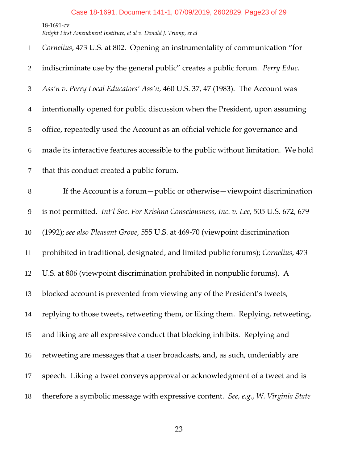*Knight First Amendment Institute, et al v. Donald J. Trump, et al*

| $\mathbf{1}$   | Cornelius, 473 U.S. at 802. Opening an instrumentality of communication "for           |
|----------------|----------------------------------------------------------------------------------------|
| 2              | indiscriminate use by the general public" creates a public forum. Perry Educ.          |
| 3              | Ass'n v. Perry Local Educators' Ass'n, 460 U.S. 37, 47 (1983). The Account was         |
| $\overline{4}$ | intentionally opened for public discussion when the President, upon assuming           |
| 5              | office, repeatedly used the Account as an official vehicle for governance and          |
| 6              | made its interactive features accessible to the public without limitation. We hold     |
| $\tau$         | that this conduct created a public forum.                                              |
| $8\,$          | If the Account is a forum - public or otherwise - viewpoint discrimination             |
| 9              | is not permitted. Int'l Soc. For Krishna Consciousness, Inc. v. Lee, 505 U.S. 672, 679 |
| 10             | (1992); see also Pleasant Grove, 555 U.S. at 469-70 (viewpoint discrimination          |
| 11             | prohibited in traditional, designated, and limited public forums); Cornelius, 473      |
| 12             | U.S. at 806 (viewpoint discrimination prohibited in nonpublic forums). A               |
| 13             | blocked account is prevented from viewing any of the President's tweets,               |
| 14             | replying to those tweets, retweeting them, or liking them. Replying, retweeting,       |
| 15             | and liking are all expressive conduct that blocking inhibits. Replying and             |
| 16             | retweeting are messages that a user broadcasts, and, as such, undeniably are           |
| 17             | speech. Liking a tweet conveys approval or acknowledgment of a tweet and is            |
| 18             | therefore a symbolic message with expressive content. See, e.g., W. Virginia State     |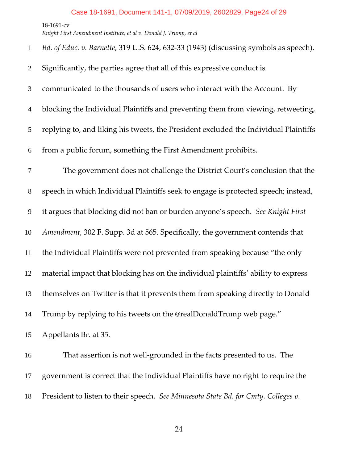*Knight First Amendment Institute, et al v. Donald J. Trump, et al*

*Bd. of Educ. v. Barnette*, 319 U.S. 624, 632‐33 (1943) (discussing symbols as speech).

- Significantly, the parties agree that all of this expressive conduct is
- communicated to the thousands of users who interact with the Account. By
- blocking the Individual Plaintiffs and preventing them from viewing, retweeting,

replying to, and liking his tweets, the President excluded the Individual Plaintiffs

from a public forum, something the First Amendment prohibits.

The government does not challenge the District Court's conclusion that the speech in which Individual Plaintiffs seek to engage is protected speech; instead, it argues that blocking did not ban or burden anyone's speech. *See Knight First Amendment*, 302 F. Supp. 3d at 565. Specifically, the government contends that the Individual Plaintiffs were not prevented from speaking because "the only material impact that blocking has on the individual plaintiffs' ability to express themselves on Twitter is that it prevents them from speaking directly to Donald Trump by replying to his tweets on the @realDonaldTrump web page." Appellants Br. at 35.

16 That assertion is not well-grounded in the facts presented to us. The government is correct that the Individual Plaintiffs have no right to require the President to listen to their speech. *See Minnesota State Bd. for Cmty. Colleges v.*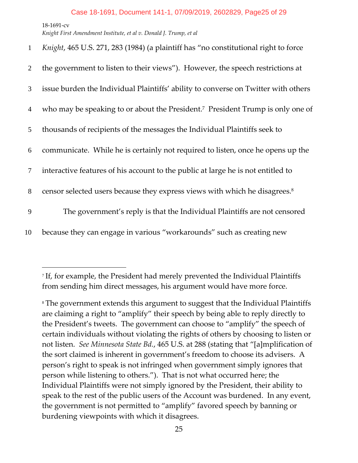$\overline{a}$ 

| $\mathbf{1}$   | Knight, 465 U.S. 271, 283 (1984) (a plaintiff has "no constitutional right to force        |
|----------------|--------------------------------------------------------------------------------------------|
| 2              | the government to listen to their views"). However, the speech restrictions at             |
| 3              | issue burden the Individual Plaintiffs' ability to converse on Twitter with others         |
| $\overline{4}$ | who may be speaking to or about the President. <sup>7</sup> President Trump is only one of |
| 5              | thousands of recipients of the messages the Individual Plaintiffs seek to                  |
| 6              | communicate. While he is certainly not required to listen, once he opens up the            |
| $\tau$         | interactive features of his account to the public at large he is not entitled to           |
| 8              | censor selected users because they express views with which he disagrees. <sup>8</sup>     |
| 9              | The government's reply is that the Individual Plaintiffs are not censored                  |
| 10             | because they can engage in various "workarounds" such as creating new                      |

<sup>7</sup> If, for example, the President had merely prevented the Individual Plaintiffs from sending him direct messages, his argument would have more force.

<sup>8</sup> The government extends this argument to suggest that the Individual Plaintiffs are claiming a right to "amplify" their speech by being able to reply directly to the President's tweets. The government can choose to "amplify" the speech of certain individuals without violating the rights of others by choosing to listen or not listen. *See Minnesota State Bd.*, 465 U.S. at 288 (stating that "[a]mplification of the sort claimed is inherent in government's freedom to choose its advisers. A person's right to speak is not infringed when government simply ignores that person while listening to others."). That is not what occurred here; the Individual Plaintiffs were not simply ignored by the President, their ability to speak to the rest of the public users of the Account was burdened. In any event, the government is not permitted to "amplify" favored speech by banning or burdening viewpoints with which it disagrees.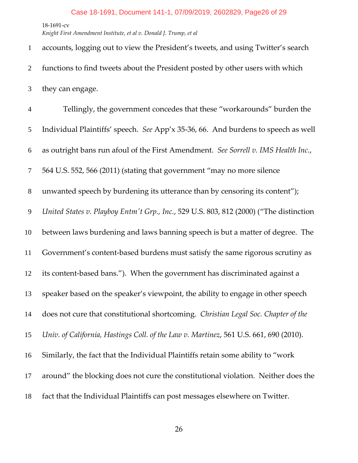*Knight First Amendment Institute, et al v. Donald J. Trump, et al*

accounts, logging out to view the President's tweets, and using Twitter's search functions to find tweets about the President posted by other users with which they can engage. Tellingly, the government concedes that these "workarounds" burden the Individual Plaintiffs' speech. *See* App'x 35‐36, 66. And burdens to speech as well as outright bans run afoul of the First Amendment. *See Sorrell v. IMS Health Inc.*, 564 U.S. 552, 566 (2011) (stating that government "may no more silence unwanted speech by burdening its utterance than by censoring its content"); *United States v. Playboy Entmʹt Grp., Inc.*, 529 U.S. 803, 812 (2000) ("The distinction between laws burdening and laws banning speech is but a matter of degree. The Government's content‐based burdens must satisfy the same rigorous scrutiny as its content‐based bans."). When the government has discriminated against a speaker based on the speaker's viewpoint, the ability to engage in other speech does not cure that constitutional shortcoming. *Christian Legal Soc. Chapter of the Univ. of California, Hastings Coll. of the Law v. Martinez*, 561 U.S. 661, 690 (2010). Similarly, the fact that the Individual Plaintiffs retain some ability to "work around" the blocking does not cure the constitutional violation. Neither does the fact that the Individual Plaintiffs can post messages elsewhere on Twitter.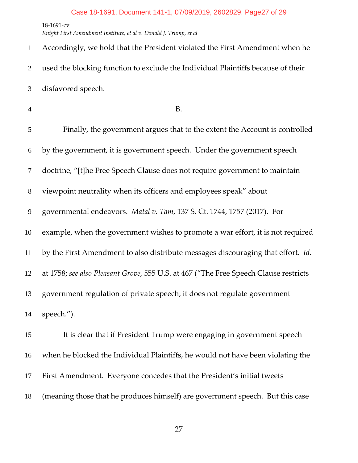‐1691‐cv *Knight First Amendment Institute, et al v. Donald J. Trump, et al*

Accordingly, we hold that the President violated the First Amendment when he used the blocking function to exclude the Individual Plaintiffs because of their disfavored speech. B. Finally, the government argues that to the extent the Account is controlled by the government, it is government speech. Under the government speech doctrine, "[t]he Free Speech Clause does not require government to maintain viewpoint neutrality when its officers and employees speak" about governmental endeavors. *Matal v. Tam*, 137 S. Ct. 1744, 1757 (2017). For example, when the government wishes to promote a war effort, it is not required by the First Amendment to also distribute messages discouraging that effort. *Id.* at 1758; *see also Pleasant Grove*, 555 U.S. at 467 ("The Free Speech Clause restricts government regulation of private speech; it does not regulate government speech."). It is clear that if President Trump were engaging in government speech when he blocked the Individual Plaintiffs, he would not have been violating the First Amendment. Everyone concedes that the President's initial tweets

(meaning those that he produces himself) are government speech. But this case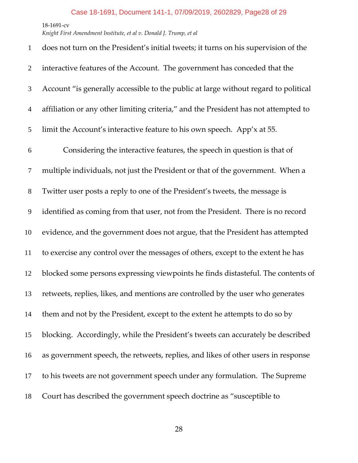*Knight First Amendment Institute, et al v. Donald J. Trump, et al*

| $\mathbf{1}$   | does not turn on the President's initial tweets; it turns on his supervision of the |
|----------------|-------------------------------------------------------------------------------------|
| $\overline{2}$ | interactive features of the Account. The government has conceded that the           |
| 3              | Account "is generally accessible to the public at large without regard to political |
| $\overline{4}$ | affiliation or any other limiting criteria," and the President has not attempted to |
| 5              | limit the Account's interactive feature to his own speech. App'x at 55.             |
| 6              | Considering the interactive features, the speech in question is that of             |
| $\tau$         | multiple individuals, not just the President or that of the government. When a      |
| $8\,$          | Twitter user posts a reply to one of the President's tweets, the message is         |
| 9              | identified as coming from that user, not from the President. There is no record     |
| 10             | evidence, and the government does not argue, that the President has attempted       |
| 11             | to exercise any control over the messages of others, except to the extent he has    |
| 12             | blocked some persons expressing viewpoints he finds distasteful. The contents of    |
| 13             | retweets, replies, likes, and mentions are controlled by the user who generates     |
| 14             | them and not by the President, except to the extent he attempts to do so by         |
| 15             | blocking. Accordingly, while the President's tweets can accurately be described     |
| 16             | as government speech, the retweets, replies, and likes of other users in response   |
| 17             | to his tweets are not government speech under any formulation. The Supreme          |
| 18             | Court has described the government speech doctrine as "susceptible to               |